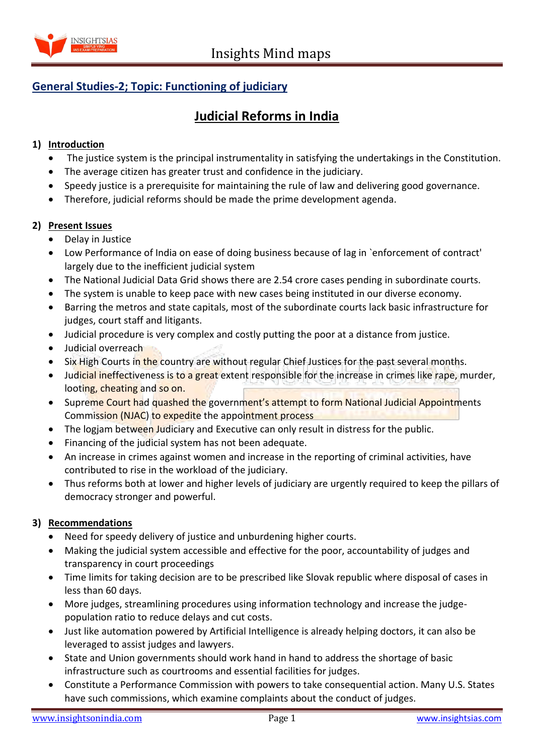

## **General Studies-2; Topic: Functioning of judiciary**

# **Judicial Reforms in India**

### **1) Introduction**

- The justice system is the principal instrumentality in satisfying the undertakings in the Constitution.
- The average citizen has greater trust and confidence in the judiciary.
- Speedy justice is a prerequisite for maintaining the rule of law and delivering good governance.
- Therefore, judicial reforms should be made the prime development agenda.

#### **2) Present Issues**

- Delay in Justice
- Low Performance of India on ease of doing business because of lag in `enforcement of contract' largely due to the inefficient judicial system
- The National Judicial Data Grid shows there are 2.54 crore cases pending in subordinate courts.
- The system is unable to keep pace with new cases being instituted in our diverse economy.
- Barring the metros and state capitals, most of the subordinate courts lack basic infrastructure for judges, court staff and litigants.
- Judicial procedure is very complex and costly putting the poor at a distance from justice.
- Judicial overreach
- Six High Courts in the country are without regular Chief Justices for the past several months.
- Judicial ineffectiveness is to a great extent responsible for the increase in crimes like rape, murder, looting, cheating and so on.
- Supreme Court had quashed the government's attempt to form National Judicial Appointments Commission (NJAC) to expedite the appointment process
- The logjam between Judiciary and Executive can only result in distress for the public.
- Financing of the judicial system has not been adequate.
- An increase in crimes against women and increase in the reporting of criminal activities, have contributed to rise in the workload of the judiciary.
- Thus reforms both at lower and higher levels of judiciary are urgently required to keep the pillars of democracy stronger and powerful.

### **3) Recommendations**

- Need for speedy delivery of justice and unburdening higher courts.
- Making the judicial system accessible and effective for the poor, accountability of judges and transparency in court proceedings
- Time limits for taking decision are to be prescribed like Slovak republic where disposal of cases in less than 60 days.
- More judges, streamlining procedures using information technology and increase the judgepopulation ratio to reduce delays and cut costs.
- Just like automation powered by Artificial Intelligence is already helping doctors, it can also be leveraged to assist judges and lawyers.
- State and Union governments should work hand in hand to address the shortage of basic infrastructure such as courtrooms and essential facilities for judges.
- Constitute a Performance Commission with powers to take consequential action. Many U.S. States have such commissions, which examine complaints about the conduct of judges.